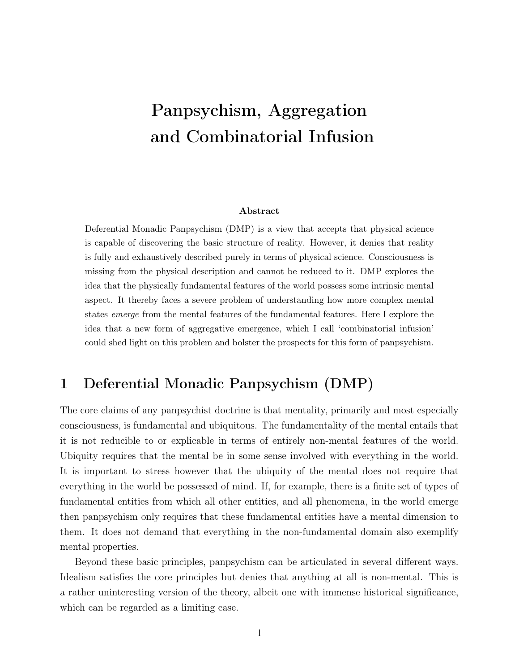# Panpsychism, Aggregation and Combinatorial Infusion

#### Abstract

Deferential Monadic Panpsychism (DMP) is a view that accepts that physical science is capable of discovering the basic structure of reality. However, it denies that reality is fully and exhaustively described purely in terms of physical science. Consciousness is missing from the physical description and cannot be reduced to it. DMP explores the idea that the physically fundamental features of the world possess some intrinsic mental aspect. It thereby faces a severe problem of understanding how more complex mental states emerge from the mental features of the fundamental features. Here I explore the idea that a new form of aggregative emergence, which I call 'combinatorial infusion' could shed light on this problem and bolster the prospects for this form of panpsychism.

## 1 Deferential Monadic Panpsychism (DMP)

The core claims of any panpsychist doctrine is that mentality, primarily and most especially consciousness, is fundamental and ubiquitous. The fundamentality of the mental entails that it is not reducible to or explicable in terms of entirely non-mental features of the world. Ubiquity requires that the mental be in some sense involved with everything in the world. It is important to stress however that the ubiquity of the mental does not require that everything in the world be possessed of mind. If, for example, there is a finite set of types of fundamental entities from which all other entities, and all phenomena, in the world emerge then panpsychism only requires that these fundamental entities have a mental dimension to them. It does not demand that everything in the non-fundamental domain also exemplify mental properties.

Beyond these basic principles, panpsychism can be articulated in several different ways. Idealism satisfies the core principles but denies that anything at all is non-mental. This is a rather uninteresting version of the theory, albeit one with immense historical significance, which can be regarded as a limiting case.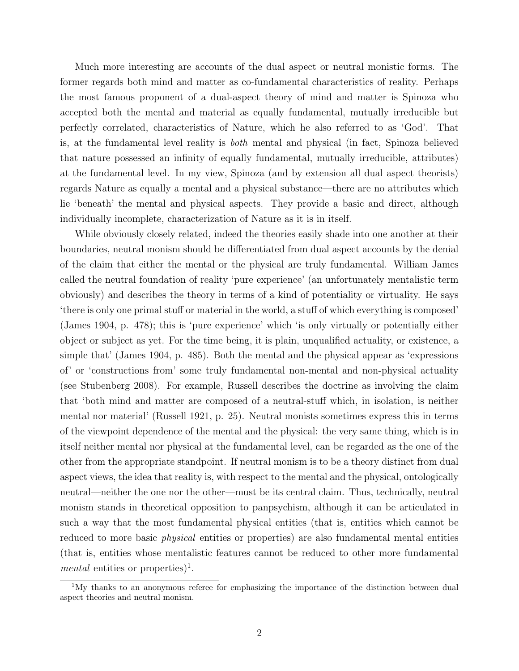Much more interesting are accounts of the dual aspect or neutral monistic forms. The former regards both mind and matter as co-fundamental characteristics of reality. Perhaps the most famous proponent of a dual-aspect theory of mind and matter is Spinoza who accepted both the mental and material as equally fundamental, mutually irreducible but perfectly correlated, characteristics of Nature, which he also referred to as 'God'. That is, at the fundamental level reality is both mental and physical (in fact, Spinoza believed that nature possessed an infinity of equally fundamental, mutually irreducible, attributes) at the fundamental level. In my view, Spinoza (and by extension all dual aspect theorists) regards Nature as equally a mental and a physical substance—there are no attributes which lie 'beneath' the mental and physical aspects. They provide a basic and direct, although individually incomplete, characterization of Nature as it is in itself.

While obviously closely related, indeed the theories easily shade into one another at their boundaries, neutral monism should be differentiated from dual aspect accounts by the denial of the claim that either the mental or the physical are truly fundamental. William James called the neutral foundation of reality 'pure experience' (an unfortunately mentalistic term obviously) and describes the theory in terms of a kind of potentiality or virtuality. He says 'there is only one primal stuff or material in the world, a stuff of which everything is composed' (James 1904, p. 478); this is 'pure experience' which 'is only virtually or potentially either object or subject as yet. For the time being, it is plain, unqualified actuality, or existence, a simple that' (James 1904, p. 485). Both the mental and the physical appear as 'expressions of' or 'constructions from' some truly fundamental non-mental and non-physical actuality (see Stubenberg 2008). For example, Russell describes the doctrine as involving the claim that 'both mind and matter are composed of a neutral-stuff which, in isolation, is neither mental nor material' (Russell 1921, p. 25). Neutral monists sometimes express this in terms of the viewpoint dependence of the mental and the physical: the very same thing, which is in itself neither mental nor physical at the fundamental level, can be regarded as the one of the other from the appropriate standpoint. If neutral monism is to be a theory distinct from dual aspect views, the idea that reality is, with respect to the mental and the physical, ontologically neutral—neither the one nor the other—must be its central claim. Thus, technically, neutral monism stands in theoretical opposition to panpsychism, although it can be articulated in such a way that the most fundamental physical entities (that is, entities which cannot be reduced to more basic physical entities or properties) are also fundamental mental entities (that is, entities whose mentalistic features cannot be reduced to other more fundamental *mental* entities or properties)<sup>1</sup>.

<sup>&</sup>lt;sup>1</sup>My thanks to an anonymous referee for emphasizing the importance of the distinction between dual aspect theories and neutral monism.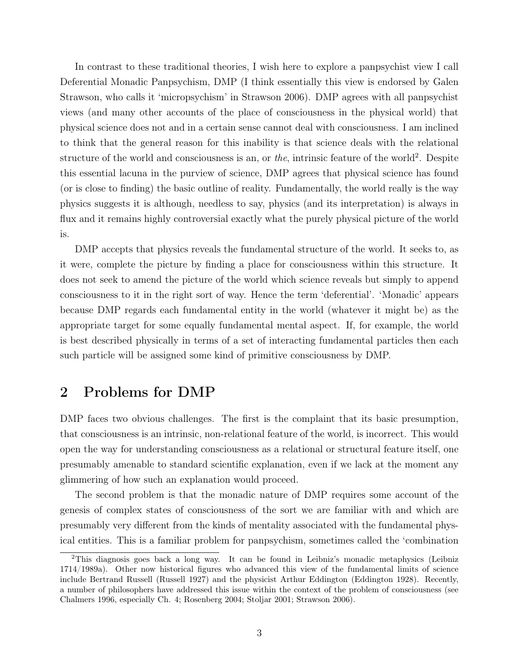In contrast to these traditional theories, I wish here to explore a panpsychist view I call Deferential Monadic Panpsychism, DMP (I think essentially this view is endorsed by Galen Strawson, who calls it 'micropsychism' in Strawson 2006). DMP agrees with all panpsychist views (and many other accounts of the place of consciousness in the physical world) that physical science does not and in a certain sense cannot deal with consciousness. I am inclined to think that the general reason for this inability is that science deals with the relational structure of the world and consciousness is an, or *the*, intrinsic feature of the world<sup>2</sup>. Despite this essential lacuna in the purview of science, DMP agrees that physical science has found (or is close to finding) the basic outline of reality. Fundamentally, the world really is the way physics suggests it is although, needless to say, physics (and its interpretation) is always in flux and it remains highly controversial exactly what the purely physical picture of the world is.

DMP accepts that physics reveals the fundamental structure of the world. It seeks to, as it were, complete the picture by finding a place for consciousness within this structure. It does not seek to amend the picture of the world which science reveals but simply to append consciousness to it in the right sort of way. Hence the term 'deferential'. 'Monadic' appears because DMP regards each fundamental entity in the world (whatever it might be) as the appropriate target for some equally fundamental mental aspect. If, for example, the world is best described physically in terms of a set of interacting fundamental particles then each such particle will be assigned some kind of primitive consciousness by DMP.

#### 2 Problems for DMP

DMP faces two obvious challenges. The first is the complaint that its basic presumption, that consciousness is an intrinsic, non-relational feature of the world, is incorrect. This would open the way for understanding consciousness as a relational or structural feature itself, one presumably amenable to standard scientific explanation, even if we lack at the moment any glimmering of how such an explanation would proceed.

The second problem is that the monadic nature of DMP requires some account of the genesis of complex states of consciousness of the sort we are familiar with and which are presumably very different from the kinds of mentality associated with the fundamental physical entities. This is a familiar problem for panpsychism, sometimes called the 'combination

<sup>2</sup>This diagnosis goes back a long way. It can be found in Leibniz's monadic metaphysics (Leibniz 1714/1989a). Other now historical figures who advanced this view of the fundamental limits of science include Bertrand Russell (Russell 1927) and the physicist Arthur Eddington (Eddington 1928). Recently, a number of philosophers have addressed this issue within the context of the problem of consciousness (see Chalmers 1996, especially Ch. 4; Rosenberg 2004; Stoljar 2001; Strawson 2006).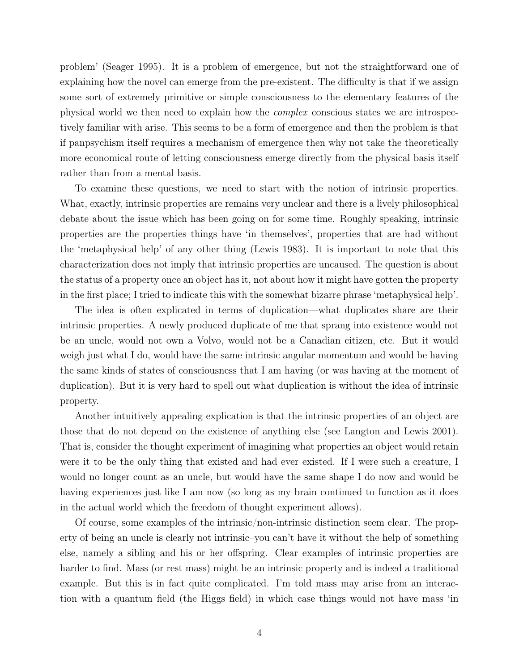problem' (Seager 1995). It is a problem of emergence, but not the straightforward one of explaining how the novel can emerge from the pre-existent. The difficulty is that if we assign some sort of extremely primitive or simple consciousness to the elementary features of the physical world we then need to explain how the complex conscious states we are introspectively familiar with arise. This seems to be a form of emergence and then the problem is that if panpsychism itself requires a mechanism of emergence then why not take the theoretically more economical route of letting consciousness emerge directly from the physical basis itself rather than from a mental basis.

To examine these questions, we need to start with the notion of intrinsic properties. What, exactly, intrinsic properties are remains very unclear and there is a lively philosophical debate about the issue which has been going on for some time. Roughly speaking, intrinsic properties are the properties things have 'in themselves', properties that are had without the 'metaphysical help' of any other thing (Lewis 1983). It is important to note that this characterization does not imply that intrinsic properties are uncaused. The question is about the status of a property once an object has it, not about how it might have gotten the property in the first place; I tried to indicate this with the somewhat bizarre phrase 'metaphysical help'.

The idea is often explicated in terms of duplication—what duplicates share are their intrinsic properties. A newly produced duplicate of me that sprang into existence would not be an uncle, would not own a Volvo, would not be a Canadian citizen, etc. But it would weigh just what I do, would have the same intrinsic angular momentum and would be having the same kinds of states of consciousness that I am having (or was having at the moment of duplication). But it is very hard to spell out what duplication is without the idea of intrinsic property.

Another intuitively appealing explication is that the intrinsic properties of an object are those that do not depend on the existence of anything else (see Langton and Lewis 2001). That is, consider the thought experiment of imagining what properties an object would retain were it to be the only thing that existed and had ever existed. If I were such a creature, I would no longer count as an uncle, but would have the same shape I do now and would be having experiences just like I am now (so long as my brain continued to function as it does in the actual world which the freedom of thought experiment allows).

Of course, some examples of the intrinsic/non-intrinsic distinction seem clear. The property of being an uncle is clearly not intrinsic–you can't have it without the help of something else, namely a sibling and his or her offspring. Clear examples of intrinsic properties are harder to find. Mass (or rest mass) might be an intrinsic property and is indeed a traditional example. But this is in fact quite complicated. I'm told mass may arise from an interaction with a quantum field (the Higgs field) in which case things would not have mass 'in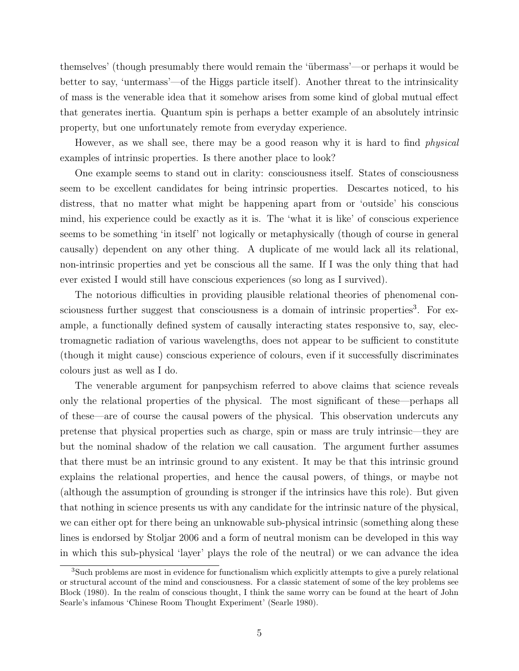themselves' (though presumably there would remain the 'übermass'—or perhaps it would be better to say, 'untermass'—of the Higgs particle itself). Another threat to the intrinsicality of mass is the venerable idea that it somehow arises from some kind of global mutual effect that generates inertia. Quantum spin is perhaps a better example of an absolutely intrinsic property, but one unfortunately remote from everyday experience.

However, as we shall see, there may be a good reason why it is hard to find physical examples of intrinsic properties. Is there another place to look?

One example seems to stand out in clarity: consciousness itself. States of consciousness seem to be excellent candidates for being intrinsic properties. Descartes noticed, to his distress, that no matter what might be happening apart from or 'outside' his conscious mind, his experience could be exactly as it is. The 'what it is like' of conscious experience seems to be something 'in itself' not logically or metaphysically (though of course in general causally) dependent on any other thing. A duplicate of me would lack all its relational, non-intrinsic properties and yet be conscious all the same. If I was the only thing that had ever existed I would still have conscious experiences (so long as I survived).

The notorious difficulties in providing plausible relational theories of phenomenal consciousness further suggest that consciousness is a domain of intrinsic properties<sup>3</sup>. For example, a functionally defined system of causally interacting states responsive to, say, electromagnetic radiation of various wavelengths, does not appear to be sufficient to constitute (though it might cause) conscious experience of colours, even if it successfully discriminates colours just as well as I do.

The venerable argument for panpsychism referred to above claims that science reveals only the relational properties of the physical. The most significant of these—perhaps all of these—are of course the causal powers of the physical. This observation undercuts any pretense that physical properties such as charge, spin or mass are truly intrinsic—they are but the nominal shadow of the relation we call causation. The argument further assumes that there must be an intrinsic ground to any existent. It may be that this intrinsic ground explains the relational properties, and hence the causal powers, of things, or maybe not (although the assumption of grounding is stronger if the intrinsics have this role). But given that nothing in science presents us with any candidate for the intrinsic nature of the physical, we can either opt for there being an unknowable sub-physical intrinsic (something along these lines is endorsed by Stoljar 2006 and a form of neutral monism can be developed in this way in which this sub-physical 'layer' plays the role of the neutral) or we can advance the idea

<sup>&</sup>lt;sup>3</sup>Such problems are most in evidence for functionalism which explicitly attempts to give a purely relational or structural account of the mind and consciousness. For a classic statement of some of the key problems see Block (1980). In the realm of conscious thought, I think the same worry can be found at the heart of John Searle's infamous 'Chinese Room Thought Experiment' (Searle 1980).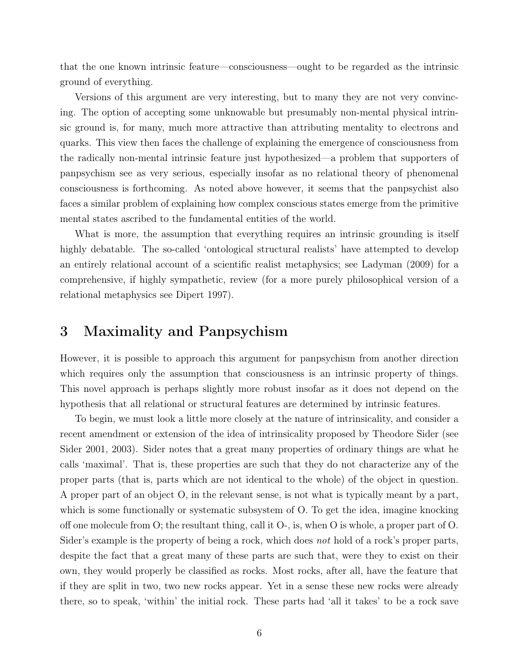that the one known intrinsic feature—consciousness—ought to be regarded as the intrinsic ground of everything.

Versions of this argument are very interesting, but to many they are not very convincing. The option of accepting some unknowable but presumably non-mental physical intrinsic ground is, for many, much more attractive than attributing mentality to electrons and quarks. This view then faces the challenge of explaining the emergence of consciousness from the radically non-mental intrinsic feature just hypothesized—a problem that supporters of panpsychism see as very serious, especially insofar as no relational theory of phenomenal consciousness is forthcoming. As noted above however, it seems that the panpsychist also faces a similar problem of explaining how complex conscious states emerge from the primitive mental states ascribed to the fundamental entities of the world.

What is more, the assumption that everything requires an intrinsic grounding is itself highly debatable. The so-called 'ontological structural realists' have attempted to develop an entirely relational account of a scientific realist metaphysics; see Ladyman (2009) for a comprehensive, if highly sympathetic, review (for a more purely philosophical version of a relational metaphysics see Dipert 1997).

#### 3 Maximality and Panpsychism

However, it is possible to approach this argument for panpsychism from another direction which requires only the assumption that consciousness is an intrinsic property of things. This novel approach is perhaps slightly more robust insofar as it does not depend on the hypothesis that all relational or structural features are determined by intrinsic features.

To begin, we must look a little more closely at the nature of intrinsicality, and consider a recent amendment or extension of the idea of intrinsicality proposed by Theodore Sider (see Sider 2001, 2003). Sider notes that a great many properties of ordinary things are what he calls 'maximal'. That is, these properties are such that they do not characterize any of the proper parts (that is, parts which are not identical to the whole) of the object in question. A proper part of an object O, in the relevant sense, is not what is typically meant by a part, which is some functionally or systematic subsystem of O. To get the idea, imagine knocking off one molecule from O; the resultant thing, call it O-, is, when O is whole, a proper part of O. Sider's example is the property of being a rock, which does not hold of a rock's proper parts, despite the fact that a great many of these parts are such that, were they to exist on their own, they would properly be classified as rocks. Most rocks, after all, have the feature that if they are split in two, two new rocks appear. Yet in a sense these new rocks were already there, so to speak, 'within' the initial rock. These parts had 'all it takes' to be a rock save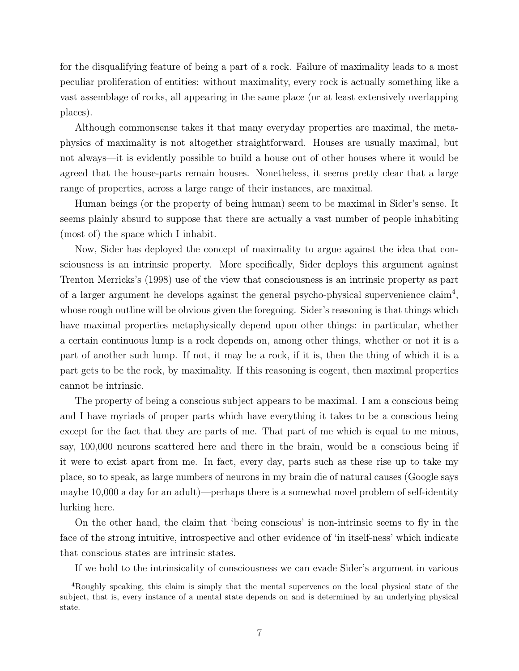for the disqualifying feature of being a part of a rock. Failure of maximality leads to a most peculiar proliferation of entities: without maximality, every rock is actually something like a vast assemblage of rocks, all appearing in the same place (or at least extensively overlapping places).

Although commonsense takes it that many everyday properties are maximal, the metaphysics of maximality is not altogether straightforward. Houses are usually maximal, but not always—it is evidently possible to build a house out of other houses where it would be agreed that the house-parts remain houses. Nonetheless, it seems pretty clear that a large range of properties, across a large range of their instances, are maximal.

Human beings (or the property of being human) seem to be maximal in Sider's sense. It seems plainly absurd to suppose that there are actually a vast number of people inhabiting (most of) the space which I inhabit.

Now, Sider has deployed the concept of maximality to argue against the idea that consciousness is an intrinsic property. More specifically, Sider deploys this argument against Trenton Merricks's (1998) use of the view that consciousness is an intrinsic property as part of a larger argument he develops against the general psycho-physical supervenience  $\text{claim}^4$ , whose rough outline will be obvious given the foregoing. Sider's reasoning is that things which have maximal properties metaphysically depend upon other things: in particular, whether a certain continuous lump is a rock depends on, among other things, whether or not it is a part of another such lump. If not, it may be a rock, if it is, then the thing of which it is a part gets to be the rock, by maximality. If this reasoning is cogent, then maximal properties cannot be intrinsic.

The property of being a conscious subject appears to be maximal. I am a conscious being and I have myriads of proper parts which have everything it takes to be a conscious being except for the fact that they are parts of me. That part of me which is equal to me minus, say, 100,000 neurons scattered here and there in the brain, would be a conscious being if it were to exist apart from me. In fact, every day, parts such as these rise up to take my place, so to speak, as large numbers of neurons in my brain die of natural causes (Google says maybe 10,000 a day for an adult)—perhaps there is a somewhat novel problem of self-identity lurking here.

On the other hand, the claim that 'being conscious' is non-intrinsic seems to fly in the face of the strong intuitive, introspective and other evidence of 'in itself-ness' which indicate that conscious states are intrinsic states.

If we hold to the intrinsicality of consciousness we can evade Sider's argument in various

<sup>4</sup>Roughly speaking, this claim is simply that the mental supervenes on the local physical state of the subject, that is, every instance of a mental state depends on and is determined by an underlying physical state.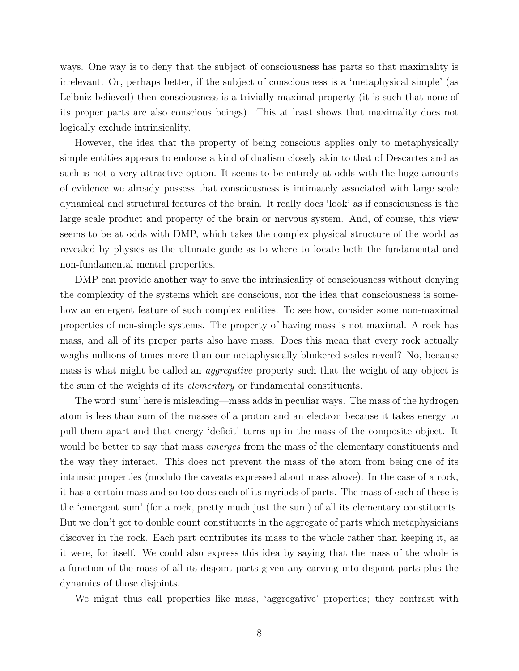ways. One way is to deny that the subject of consciousness has parts so that maximality is irrelevant. Or, perhaps better, if the subject of consciousness is a 'metaphysical simple' (as Leibniz believed) then consciousness is a trivially maximal property (it is such that none of its proper parts are also conscious beings). This at least shows that maximality does not logically exclude intrinsicality.

However, the idea that the property of being conscious applies only to metaphysically simple entities appears to endorse a kind of dualism closely akin to that of Descartes and as such is not a very attractive option. It seems to be entirely at odds with the huge amounts of evidence we already possess that consciousness is intimately associated with large scale dynamical and structural features of the brain. It really does 'look' as if consciousness is the large scale product and property of the brain or nervous system. And, of course, this view seems to be at odds with DMP, which takes the complex physical structure of the world as revealed by physics as the ultimate guide as to where to locate both the fundamental and non-fundamental mental properties.

DMP can provide another way to save the intrinsicality of consciousness without denying the complexity of the systems which are conscious, nor the idea that consciousness is somehow an emergent feature of such complex entities. To see how, consider some non-maximal properties of non-simple systems. The property of having mass is not maximal. A rock has mass, and all of its proper parts also have mass. Does this mean that every rock actually weighs millions of times more than our metaphysically blinkered scales reveal? No, because mass is what might be called an aggregative property such that the weight of any object is the sum of the weights of its elementary or fundamental constituents.

The word 'sum' here is misleading—mass adds in peculiar ways. The mass of the hydrogen atom is less than sum of the masses of a proton and an electron because it takes energy to pull them apart and that energy 'deficit' turns up in the mass of the composite object. It would be better to say that mass *emerges* from the mass of the elementary constituents and the way they interact. This does not prevent the mass of the atom from being one of its intrinsic properties (modulo the caveats expressed about mass above). In the case of a rock, it has a certain mass and so too does each of its myriads of parts. The mass of each of these is the 'emergent sum' (for a rock, pretty much just the sum) of all its elementary constituents. But we don't get to double count constituents in the aggregate of parts which metaphysicians discover in the rock. Each part contributes its mass to the whole rather than keeping it, as it were, for itself. We could also express this idea by saying that the mass of the whole is a function of the mass of all its disjoint parts given any carving into disjoint parts plus the dynamics of those disjoints.

We might thus call properties like mass, 'aggregative' properties; they contrast with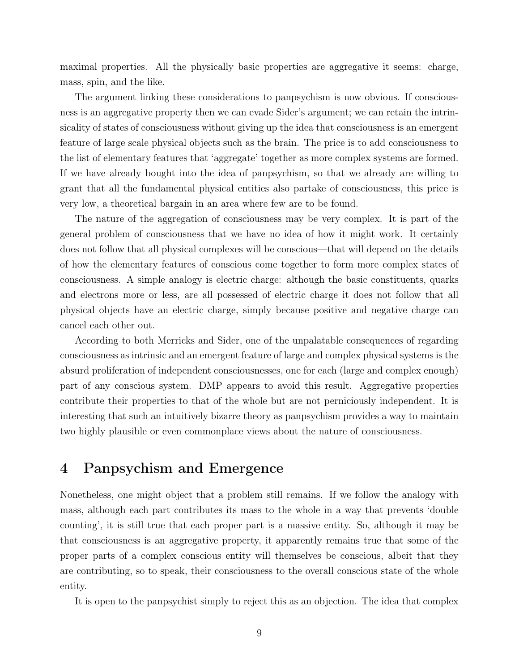maximal properties. All the physically basic properties are aggregative it seems: charge, mass, spin, and the like.

The argument linking these considerations to panpsychism is now obvious. If consciousness is an aggregative property then we can evade Sider's argument; we can retain the intrinsicality of states of consciousness without giving up the idea that consciousness is an emergent feature of large scale physical objects such as the brain. The price is to add consciousness to the list of elementary features that 'aggregate' together as more complex systems are formed. If we have already bought into the idea of panpsychism, so that we already are willing to grant that all the fundamental physical entities also partake of consciousness, this price is very low, a theoretical bargain in an area where few are to be found.

The nature of the aggregation of consciousness may be very complex. It is part of the general problem of consciousness that we have no idea of how it might work. It certainly does not follow that all physical complexes will be conscious—that will depend on the details of how the elementary features of conscious come together to form more complex states of consciousness. A simple analogy is electric charge: although the basic constituents, quarks and electrons more or less, are all possessed of electric charge it does not follow that all physical objects have an electric charge, simply because positive and negative charge can cancel each other out.

According to both Merricks and Sider, one of the unpalatable consequences of regarding consciousness as intrinsic and an emergent feature of large and complex physical systems is the absurd proliferation of independent consciousnesses, one for each (large and complex enough) part of any conscious system. DMP appears to avoid this result. Aggregative properties contribute their properties to that of the whole but are not perniciously independent. It is interesting that such an intuitively bizarre theory as panpsychism provides a way to maintain two highly plausible or even commonplace views about the nature of consciousness.

#### 4 Panpsychism and Emergence

Nonetheless, one might object that a problem still remains. If we follow the analogy with mass, although each part contributes its mass to the whole in a way that prevents 'double counting', it is still true that each proper part is a massive entity. So, although it may be that consciousness is an aggregative property, it apparently remains true that some of the proper parts of a complex conscious entity will themselves be conscious, albeit that they are contributing, so to speak, their consciousness to the overall conscious state of the whole entity.

It is open to the panpsychist simply to reject this as an objection. The idea that complex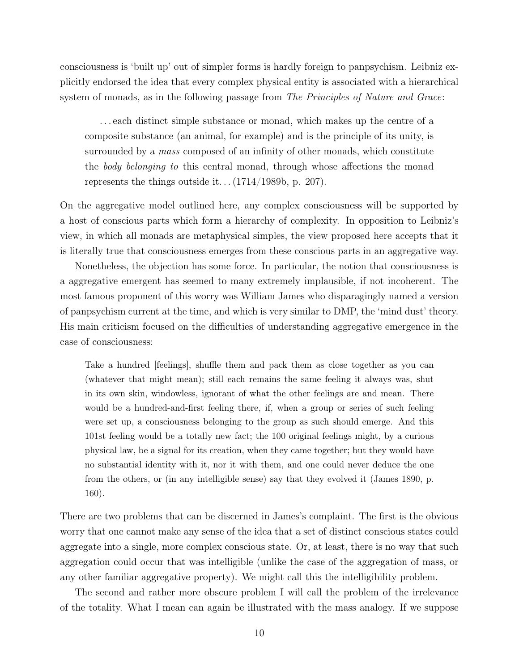consciousness is 'built up' out of simpler forms is hardly foreign to panpsychism. Leibniz explicitly endorsed the idea that every complex physical entity is associated with a hierarchical system of monads, as in the following passage from The Principles of Nature and Grace:

. . . each distinct simple substance or monad, which makes up the centre of a composite substance (an animal, for example) and is the principle of its unity, is surrounded by a *mass* composed of an infinity of other monads, which constitute the body belonging to this central monad, through whose affections the monad represents the things outside it... $(1714/1989b, p. 207)$ .

On the aggregative model outlined here, any complex consciousness will be supported by a host of conscious parts which form a hierarchy of complexity. In opposition to Leibniz's view, in which all monads are metaphysical simples, the view proposed here accepts that it is literally true that consciousness emerges from these conscious parts in an aggregative way.

Nonetheless, the objection has some force. In particular, the notion that consciousness is a aggregative emergent has seemed to many extremely implausible, if not incoherent. The most famous proponent of this worry was William James who disparagingly named a version of panpsychism current at the time, and which is very similar to DMP, the 'mind dust' theory. His main criticism focused on the difficulties of understanding aggregative emergence in the case of consciousness:

Take a hundred [feelings], shuffle them and pack them as close together as you can (whatever that might mean); still each remains the same feeling it always was, shut in its own skin, windowless, ignorant of what the other feelings are and mean. There would be a hundred-and-first feeling there, if, when a group or series of such feeling were set up, a consciousness belonging to the group as such should emerge. And this 101st feeling would be a totally new fact; the 100 original feelings might, by a curious physical law, be a signal for its creation, when they came together; but they would have no substantial identity with it, nor it with them, and one could never deduce the one from the others, or (in any intelligible sense) say that they evolved it (James 1890, p. 160).

There are two problems that can be discerned in James's complaint. The first is the obvious worry that one cannot make any sense of the idea that a set of distinct conscious states could aggregate into a single, more complex conscious state. Or, at least, there is no way that such aggregation could occur that was intelligible (unlike the case of the aggregation of mass, or any other familiar aggregative property). We might call this the intelligibility problem.

The second and rather more obscure problem I will call the problem of the irrelevance of the totality. What I mean can again be illustrated with the mass analogy. If we suppose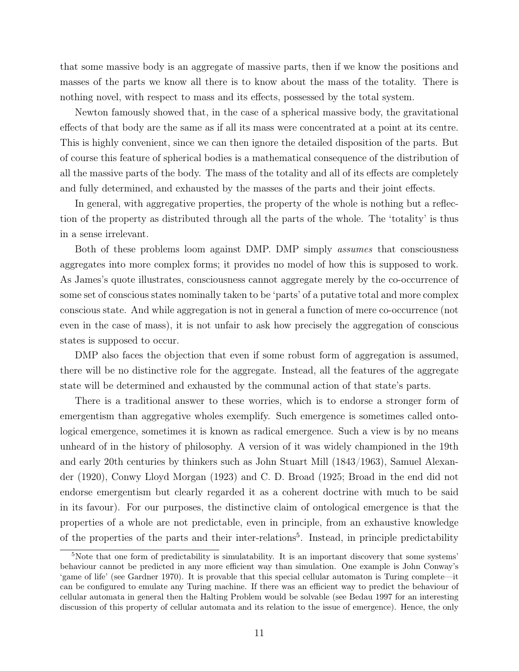that some massive body is an aggregate of massive parts, then if we know the positions and masses of the parts we know all there is to know about the mass of the totality. There is nothing novel, with respect to mass and its effects, possessed by the total system.

Newton famously showed that, in the case of a spherical massive body, the gravitational effects of that body are the same as if all its mass were concentrated at a point at its centre. This is highly convenient, since we can then ignore the detailed disposition of the parts. But of course this feature of spherical bodies is a mathematical consequence of the distribution of all the massive parts of the body. The mass of the totality and all of its effects are completely and fully determined, and exhausted by the masses of the parts and their joint effects.

In general, with aggregative properties, the property of the whole is nothing but a reflection of the property as distributed through all the parts of the whole. The 'totality' is thus in a sense irrelevant.

Both of these problems loom against DMP. DMP simply assumes that consciousness aggregates into more complex forms; it provides no model of how this is supposed to work. As James's quote illustrates, consciousness cannot aggregate merely by the co-occurrence of some set of conscious states nominally taken to be 'parts' of a putative total and more complex conscious state. And while aggregation is not in general a function of mere co-occurrence (not even in the case of mass), it is not unfair to ask how precisely the aggregation of conscious states is supposed to occur.

DMP also faces the objection that even if some robust form of aggregation is assumed, there will be no distinctive role for the aggregate. Instead, all the features of the aggregate state will be determined and exhausted by the communal action of that state's parts.

There is a traditional answer to these worries, which is to endorse a stronger form of emergentism than aggregative wholes exemplify. Such emergence is sometimes called ontological emergence, sometimes it is known as radical emergence. Such a view is by no means unheard of in the history of philosophy. A version of it was widely championed in the 19th and early 20th centuries by thinkers such as John Stuart Mill (1843/1963), Samuel Alexander (1920), Conwy Lloyd Morgan (1923) and C. D. Broad (1925; Broad in the end did not endorse emergentism but clearly regarded it as a coherent doctrine with much to be said in its favour). For our purposes, the distinctive claim of ontological emergence is that the properties of a whole are not predictable, even in principle, from an exhaustive knowledge of the properties of the parts and their inter-relations<sup>5</sup>. Instead, in principle predictability

<sup>&</sup>lt;sup>5</sup>Note that one form of predictability is simulatability. It is an important discovery that some systems' behaviour cannot be predicted in any more efficient way than simulation. One example is John Conway's 'game of life' (see Gardner 1970). It is provable that this special cellular automaton is Turing complete—it can be configured to emulate any Turing machine. If there was an efficient way to predict the behaviour of cellular automata in general then the Halting Problem would be solvable (see Bedau 1997 for an interesting discussion of this property of cellular automata and its relation to the issue of emergence). Hence, the only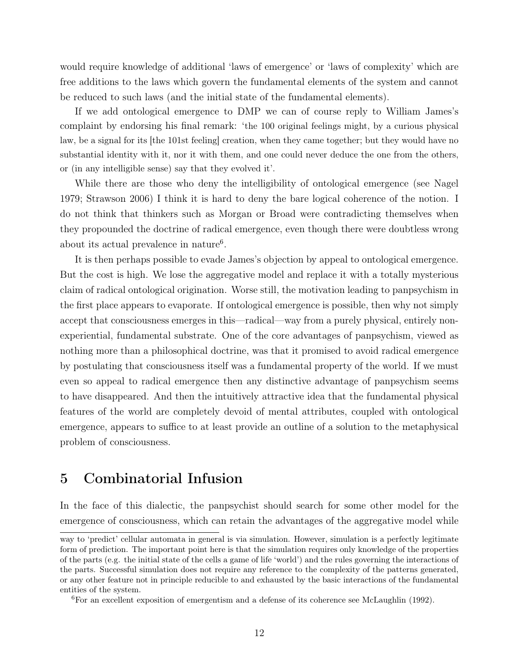would require knowledge of additional 'laws of emergence' or 'laws of complexity' which are free additions to the laws which govern the fundamental elements of the system and cannot be reduced to such laws (and the initial state of the fundamental elements).

If we add ontological emergence to DMP we can of course reply to William James's complaint by endorsing his final remark: 'the 100 original feelings might, by a curious physical law, be a signal for its [the 101st feeling] creation, when they came together; but they would have no substantial identity with it, nor it with them, and one could never deduce the one from the others, or (in any intelligible sense) say that they evolved it'.

While there are those who deny the intelligibility of ontological emergence (see Nagel 1979; Strawson 2006) I think it is hard to deny the bare logical coherence of the notion. I do not think that thinkers such as Morgan or Broad were contradicting themselves when they propounded the doctrine of radical emergence, even though there were doubtless wrong about its actual prevalence in nature<sup>6</sup>.

It is then perhaps possible to evade James's objection by appeal to ontological emergence. But the cost is high. We lose the aggregative model and replace it with a totally mysterious claim of radical ontological origination. Worse still, the motivation leading to panpsychism in the first place appears to evaporate. If ontological emergence is possible, then why not simply accept that consciousness emerges in this—radical—way from a purely physical, entirely nonexperiential, fundamental substrate. One of the core advantages of panpsychism, viewed as nothing more than a philosophical doctrine, was that it promised to avoid radical emergence by postulating that consciousness itself was a fundamental property of the world. If we must even so appeal to radical emergence then any distinctive advantage of panpsychism seems to have disappeared. And then the intuitively attractive idea that the fundamental physical features of the world are completely devoid of mental attributes, coupled with ontological emergence, appears to suffice to at least provide an outline of a solution to the metaphysical problem of consciousness.

### 5 Combinatorial Infusion

In the face of this dialectic, the panpsychist should search for some other model for the emergence of consciousness, which can retain the advantages of the aggregative model while

way to 'predict' cellular automata in general is via simulation. However, simulation is a perfectly legitimate form of prediction. The important point here is that the simulation requires only knowledge of the properties of the parts (e.g. the initial state of the cells a game of life 'world') and the rules governing the interactions of the parts. Successful simulation does not require any reference to the complexity of the patterns generated, or any other feature not in principle reducible to and exhausted by the basic interactions of the fundamental entities of the system.

 ${}^{6}$ For an excellent exposition of emergentism and a defense of its coherence see McLaughlin (1992).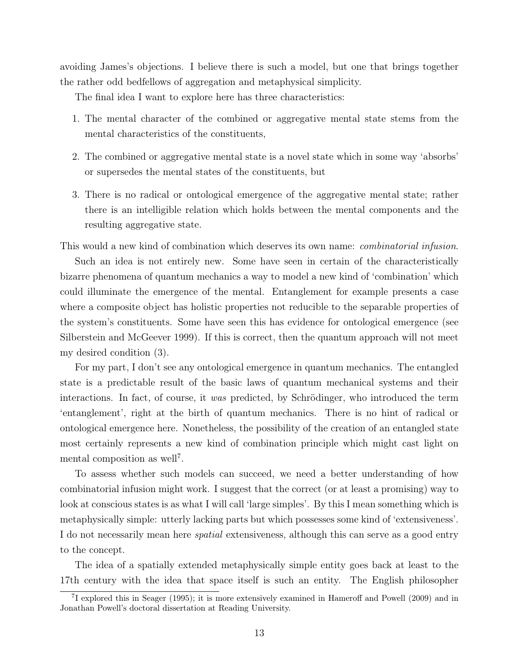avoiding James's objections. I believe there is such a model, but one that brings together the rather odd bedfellows of aggregation and metaphysical simplicity.

The final idea I want to explore here has three characteristics:

- 1. The mental character of the combined or aggregative mental state stems from the mental characteristics of the constituents,
- 2. The combined or aggregative mental state is a novel state which in some way 'absorbs' or supersedes the mental states of the constituents, but
- 3. There is no radical or ontological emergence of the aggregative mental state; rather there is an intelligible relation which holds between the mental components and the resulting aggregative state.

This would a new kind of combination which deserves its own name: combinatorial infusion. Such an idea is not entirely new. Some have seen in certain of the characteristically bizarre phenomena of quantum mechanics a way to model a new kind of 'combination' which could illuminate the emergence of the mental. Entanglement for example presents a case where a composite object has holistic properties not reducible to the separable properties of the system's constituents. Some have seen this has evidence for ontological emergence (see Silberstein and McGeever 1999). If this is correct, then the quantum approach will not meet my desired condition (3).

For my part, I don't see any ontological emergence in quantum mechanics. The entangled state is a predictable result of the basic laws of quantum mechanical systems and their interactions. In fact, of course, it was predicted, by Schrödinger, who introduced the term 'entanglement', right at the birth of quantum mechanics. There is no hint of radical or ontological emergence here. Nonetheless, the possibility of the creation of an entangled state most certainly represents a new kind of combination principle which might cast light on mental composition as well<sup>7</sup>.

To assess whether such models can succeed, we need a better understanding of how combinatorial infusion might work. I suggest that the correct (or at least a promising) way to look at conscious states is as what I will call 'large simples'. By this I mean something which is metaphysically simple: utterly lacking parts but which possesses some kind of 'extensiveness'. I do not necessarily mean here *spatial* extensiveness, although this can serve as a good entry to the concept.

The idea of a spatially extended metaphysically simple entity goes back at least to the 17th century with the idea that space itself is such an entity. The English philosopher

<sup>7</sup> I explored this in Seager (1995); it is more extensively examined in Hameroff and Powell (2009) and in Jonathan Powell's doctoral dissertation at Reading University.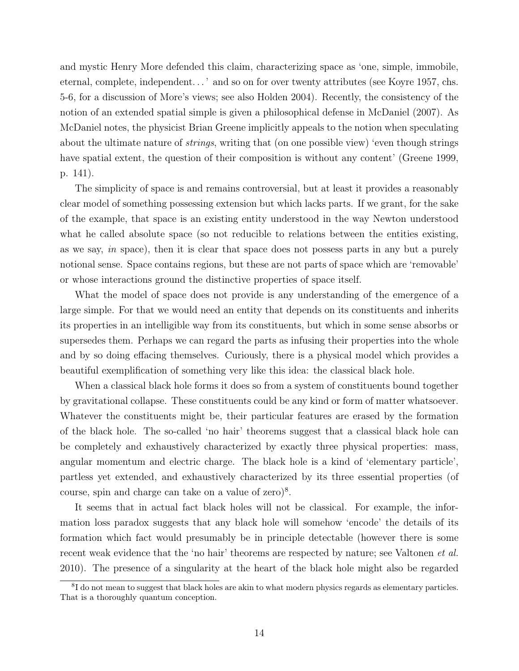and mystic Henry More defended this claim, characterizing space as 'one, simple, immobile, eternal, complete, independent. . . ' and so on for over twenty attributes (see Koyre 1957, chs. 5-6, for a discussion of More's views; see also Holden 2004). Recently, the consistency of the notion of an extended spatial simple is given a philosophical defense in McDaniel (2007). As McDaniel notes, the physicist Brian Greene implicitly appeals to the notion when speculating about the ultimate nature of *strings*, writing that (on one possible view) 'even though strings have spatial extent, the question of their composition is without any content' (Greene 1999, p. 141).

The simplicity of space is and remains controversial, but at least it provides a reasonably clear model of something possessing extension but which lacks parts. If we grant, for the sake of the example, that space is an existing entity understood in the way Newton understood what he called absolute space (so not reducible to relations between the entities existing, as we say, in space), then it is clear that space does not possess parts in any but a purely notional sense. Space contains regions, but these are not parts of space which are 'removable' or whose interactions ground the distinctive properties of space itself.

What the model of space does not provide is any understanding of the emergence of a large simple. For that we would need an entity that depends on its constituents and inherits its properties in an intelligible way from its constituents, but which in some sense absorbs or supersedes them. Perhaps we can regard the parts as infusing their properties into the whole and by so doing effacing themselves. Curiously, there is a physical model which provides a beautiful exemplification of something very like this idea: the classical black hole.

When a classical black hole forms it does so from a system of constituents bound together by gravitational collapse. These constituents could be any kind or form of matter whatsoever. Whatever the constituents might be, their particular features are erased by the formation of the black hole. The so-called 'no hair' theorems suggest that a classical black hole can be completely and exhaustively characterized by exactly three physical properties: mass, angular momentum and electric charge. The black hole is a kind of 'elementary particle', partless yet extended, and exhaustively characterized by its three essential properties (of course, spin and charge can take on a value of zero) $8$ .

It seems that in actual fact black holes will not be classical. For example, the information loss paradox suggests that any black hole will somehow 'encode' the details of its formation which fact would presumably be in principle detectable (however there is some recent weak evidence that the 'no hair' theorems are respected by nature; see Valtonen *et al.* 2010). The presence of a singularity at the heart of the black hole might also be regarded

<sup>&</sup>lt;sup>8</sup>I do not mean to suggest that black holes are akin to what modern physics regards as elementary particles. That is a thoroughly quantum conception.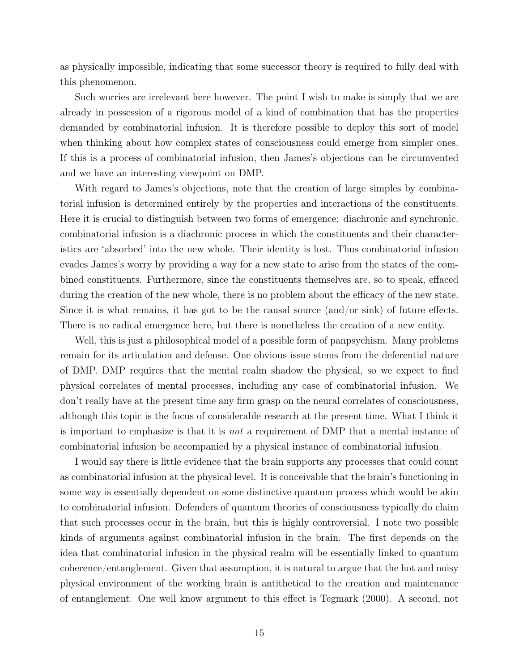as physically impossible, indicating that some successor theory is required to fully deal with this phenomenon.

Such worries are irrelevant here however. The point I wish to make is simply that we are already in possession of a rigorous model of a kind of combination that has the properties demanded by combinatorial infusion. It is therefore possible to deploy this sort of model when thinking about how complex states of consciousness could emerge from simpler ones. If this is a process of combinatorial infusion, then James's objections can be circumvented and we have an interesting viewpoint on DMP.

With regard to James's objections, note that the creation of large simples by combinatorial infusion is determined entirely by the properties and interactions of the constituents. Here it is crucial to distinguish between two forms of emergence: diachronic and synchronic. combinatorial infusion is a diachronic process in which the constituents and their characteristics are 'absorbed' into the new whole. Their identity is lost. Thus combinatorial infusion evades James's worry by providing a way for a new state to arise from the states of the combined constituents. Furthermore, since the constituents themselves are, so to speak, effaced during the creation of the new whole, there is no problem about the efficacy of the new state. Since it is what remains, it has got to be the causal source (and/or sink) of future effects. There is no radical emergence here, but there is nonetheless the creation of a new entity.

Well, this is just a philosophical model of a possible form of panpsychism. Many problems remain for its articulation and defense. One obvious issue stems from the deferential nature of DMP. DMP requires that the mental realm shadow the physical, so we expect to find physical correlates of mental processes, including any case of combinatorial infusion. We don't really have at the present time any firm grasp on the neural correlates of consciousness, although this topic is the focus of considerable research at the present time. What I think it is important to emphasize is that it is *not* a requirement of DMP that a mental instance of combinatorial infusion be accompanied by a physical instance of combinatorial infusion.

I would say there is little evidence that the brain supports any processes that could count as combinatorial infusion at the physical level. It is conceivable that the brain's functioning in some way is essentially dependent on some distinctive quantum process which would be akin to combinatorial infusion. Defenders of quantum theories of consciousness typically do claim that such processes occur in the brain, but this is highly controversial. I note two possible kinds of arguments against combinatorial infusion in the brain. The first depends on the idea that combinatorial infusion in the physical realm will be essentially linked to quantum coherence/entanglement. Given that assumption, it is natural to argue that the hot and noisy physical environment of the working brain is antithetical to the creation and maintenance of entanglement. One well know argument to this effect is Tegmark (2000). A second, not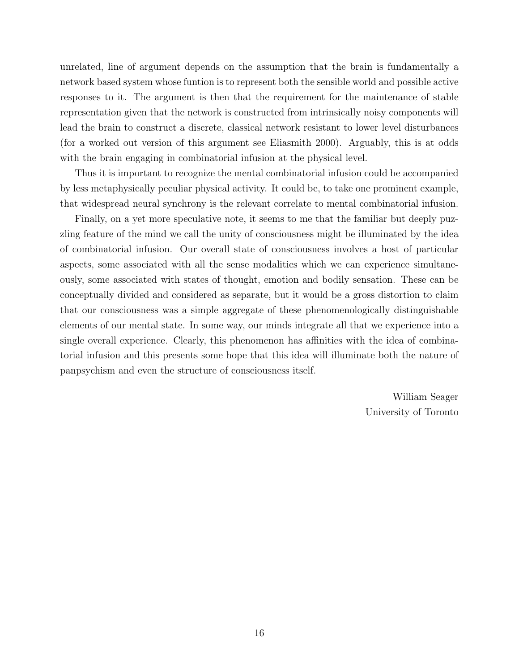unrelated, line of argument depends on the assumption that the brain is fundamentally a network based system whose funtion is to represent both the sensible world and possible active responses to it. The argument is then that the requirement for the maintenance of stable representation given that the network is constructed from intrinsically noisy components will lead the brain to construct a discrete, classical network resistant to lower level disturbances (for a worked out version of this argument see Eliasmith 2000). Arguably, this is at odds with the brain engaging in combinatorial infusion at the physical level.

Thus it is important to recognize the mental combinatorial infusion could be accompanied by less metaphysically peculiar physical activity. It could be, to take one prominent example, that widespread neural synchrony is the relevant correlate to mental combinatorial infusion.

Finally, on a yet more speculative note, it seems to me that the familiar but deeply puzzling feature of the mind we call the unity of consciousness might be illuminated by the idea of combinatorial infusion. Our overall state of consciousness involves a host of particular aspects, some associated with all the sense modalities which we can experience simultaneously, some associated with states of thought, emotion and bodily sensation. These can be conceptually divided and considered as separate, but it would be a gross distortion to claim that our consciousness was a simple aggregate of these phenomenologically distinguishable elements of our mental state. In some way, our minds integrate all that we experience into a single overall experience. Clearly, this phenomenon has affinities with the idea of combinatorial infusion and this presents some hope that this idea will illuminate both the nature of panpsychism and even the structure of consciousness itself.

> William Seager University of Toronto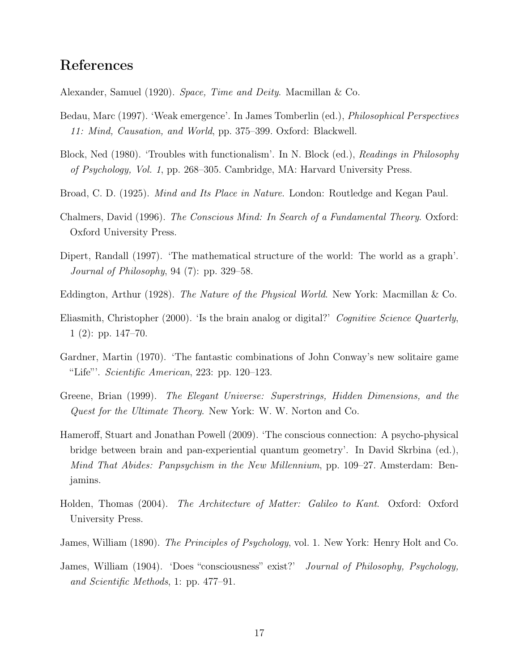#### References

Alexander, Samuel (1920). Space, Time and Deity. Macmillan & Co.

- Bedau, Marc (1997). 'Weak emergence'. In James Tomberlin (ed.), Philosophical Perspectives 11: Mind, Causation, and World, pp. 375–399. Oxford: Blackwell.
- Block, Ned (1980). 'Troubles with functionalism'. In N. Block (ed.), Readings in Philosophy of Psychology, Vol. 1, pp. 268–305. Cambridge, MA: Harvard University Press.
- Broad, C. D. (1925). Mind and Its Place in Nature. London: Routledge and Kegan Paul.
- Chalmers, David (1996). The Conscious Mind: In Search of a Fundamental Theory. Oxford: Oxford University Press.
- Dipert, Randall (1997). 'The mathematical structure of the world: The world as a graph'. Journal of Philosophy, 94 (7): pp. 329–58.
- Eddington, Arthur (1928). The Nature of the Physical World. New York: Macmillan & Co.
- Eliasmith, Christopher (2000). 'Is the brain analog or digital?' Cognitive Science Quarterly, 1 (2): pp. 147–70.
- Gardner, Martin (1970). 'The fantastic combinations of John Conway's new solitaire game "Life"'. Scientific American, 223: pp. 120–123.
- Greene, Brian (1999). The Elegant Universe: Superstrings, Hidden Dimensions, and the Quest for the Ultimate Theory. New York: W. W. Norton and Co.
- Hameroff, Stuart and Jonathan Powell (2009). 'The conscious connection: A psycho-physical bridge between brain and pan-experiential quantum geometry'. In David Skrbina (ed.), Mind That Abides: Panpsychism in the New Millennium, pp. 109–27. Amsterdam: Benjamins.
- Holden, Thomas (2004). The Architecture of Matter: Galileo to Kant. Oxford: Oxford University Press.
- James, William (1890). The Principles of Psychology, vol. 1. New York: Henry Holt and Co.
- James, William (1904). 'Does "consciousness" exist?' Journal of Philosophy, Psychology, and Scientific Methods, 1: pp. 477–91.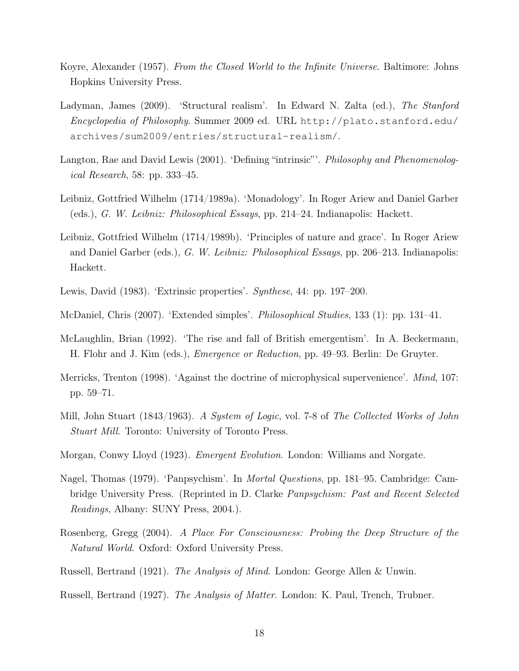- Koyre, Alexander (1957). From the Closed World to the Infinite Universe. Baltimore: Johns Hopkins University Press.
- Ladyman, James (2009). 'Structural realism'. In Edward N. Zalta (ed.), The Stanford Encyclopedia of Philosophy. Summer 2009 ed. URL http://plato.stanford.edu/ archives/sum2009/entries/structural-realism/.
- Langton, Rae and David Lewis (2001). 'Defining "intrinsic"'. *Philosophy and Phenomenolog*ical Research, 58: pp. 333–45.
- Leibniz, Gottfried Wilhelm (1714/1989a). 'Monadology'. In Roger Ariew and Daniel Garber (eds.), G. W. Leibniz: Philosophical Essays, pp. 214–24. Indianapolis: Hackett.
- Leibniz, Gottfried Wilhelm (1714/1989b). 'Principles of nature and grace'. In Roger Ariew and Daniel Garber (eds.), G. W. Leibniz: Philosophical Essays, pp. 206–213. Indianapolis: Hackett.
- Lewis, David (1983). 'Extrinsic properties'. Synthese, 44: pp. 197–200.
- McDaniel, Chris (2007). 'Extended simples'. *Philosophical Studies*, 133 (1): pp. 131–41.
- McLaughlin, Brian (1992). 'The rise and fall of British emergentism'. In A. Beckermann, H. Flohr and J. Kim (eds.), Emergence or Reduction, pp. 49–93. Berlin: De Gruyter.
- Merricks, Trenton (1998). 'Against the doctrine of microphysical supervenience'. *Mind*, 107: pp. 59–71.
- Mill, John Stuart (1843/1963). A System of Logic, vol. 7-8 of The Collected Works of John Stuart Mill. Toronto: University of Toronto Press.
- Morgan, Conwy Lloyd (1923). Emergent Evolution. London: Williams and Norgate.
- Nagel, Thomas (1979). 'Panpsychism'. In Mortal Questions, pp. 181–95. Cambridge: Cambridge University Press. (Reprinted in D. Clarke Panpsychism: Past and Recent Selected Readings, Albany: SUNY Press, 2004.).
- Rosenberg, Gregg (2004). A Place For Consciousness: Probing the Deep Structure of the Natural World. Oxford: Oxford University Press.
- Russell, Bertrand (1921). The Analysis of Mind. London: George Allen & Unwin.
- Russell, Bertrand (1927). The Analysis of Matter. London: K. Paul, Trench, Trubner.